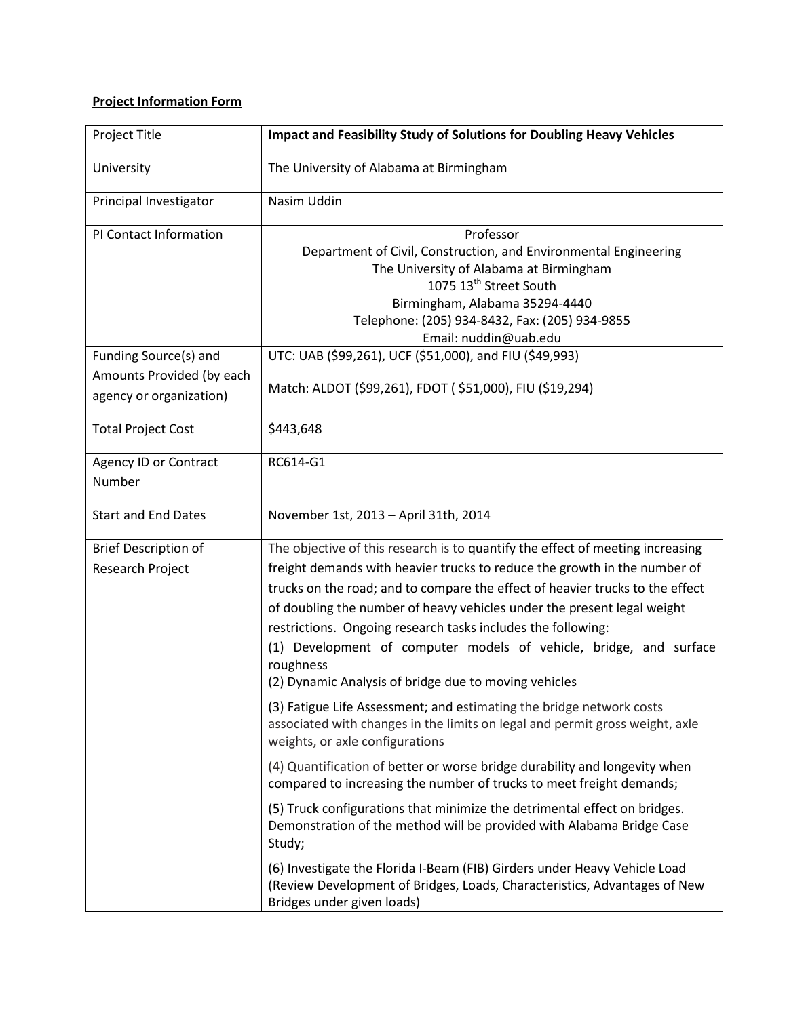## **Project Information Form**

| Project Title                                                                 | <b>Impact and Feasibility Study of Solutions for Doubling Heavy Vehicles</b>                                                                                                                                                                                                                                                                                                                                                                                                                                                        |
|-------------------------------------------------------------------------------|-------------------------------------------------------------------------------------------------------------------------------------------------------------------------------------------------------------------------------------------------------------------------------------------------------------------------------------------------------------------------------------------------------------------------------------------------------------------------------------------------------------------------------------|
| University                                                                    | The University of Alabama at Birmingham                                                                                                                                                                                                                                                                                                                                                                                                                                                                                             |
| Principal Investigator                                                        | Nasim Uddin                                                                                                                                                                                                                                                                                                                                                                                                                                                                                                                         |
| PI Contact Information                                                        | Professor<br>Department of Civil, Construction, and Environmental Engineering<br>The University of Alabama at Birmingham<br>1075 13 <sup>th</sup> Street South<br>Birmingham, Alabama 35294-4440<br>Telephone: (205) 934-8432, Fax: (205) 934-9855<br>Email: nuddin@uab.edu                                                                                                                                                                                                                                                         |
| Funding Source(s) and<br>Amounts Provided (by each<br>agency or organization) | UTC: UAB (\$99,261), UCF (\$51,000), and FIU (\$49,993)<br>Match: ALDOT (\$99,261), FDOT (\$51,000), FIU (\$19,294)                                                                                                                                                                                                                                                                                                                                                                                                                 |
| <b>Total Project Cost</b>                                                     | \$443,648                                                                                                                                                                                                                                                                                                                                                                                                                                                                                                                           |
| Agency ID or Contract<br>Number                                               | RC614-G1                                                                                                                                                                                                                                                                                                                                                                                                                                                                                                                            |
| <b>Start and End Dates</b>                                                    | November 1st, 2013 - April 31th, 2014                                                                                                                                                                                                                                                                                                                                                                                                                                                                                               |
| <b>Brief Description of</b><br>Research Project                               | The objective of this research is to quantify the effect of meeting increasing<br>freight demands with heavier trucks to reduce the growth in the number of<br>trucks on the road; and to compare the effect of heavier trucks to the effect<br>of doubling the number of heavy vehicles under the present legal weight<br>restrictions. Ongoing research tasks includes the following:<br>(1) Development of computer models of vehicle, bridge, and surface<br>roughness<br>(2) Dynamic Analysis of bridge due to moving vehicles |
|                                                                               | (3) Fatigue Life Assessment; and estimating the bridge network costs<br>associated with changes in the limits on legal and permit gross weight, axle<br>weights, or axle configurations                                                                                                                                                                                                                                                                                                                                             |
|                                                                               | (4) Quantification of better or worse bridge durability and longevity when<br>compared to increasing the number of trucks to meet freight demands;                                                                                                                                                                                                                                                                                                                                                                                  |
|                                                                               | (5) Truck configurations that minimize the detrimental effect on bridges.<br>Demonstration of the method will be provided with Alabama Bridge Case<br>Study;                                                                                                                                                                                                                                                                                                                                                                        |
|                                                                               | (6) Investigate the Florida I-Beam (FIB) Girders under Heavy Vehicle Load<br>(Review Development of Bridges, Loads, Characteristics, Advantages of New<br>Bridges under given loads)                                                                                                                                                                                                                                                                                                                                                |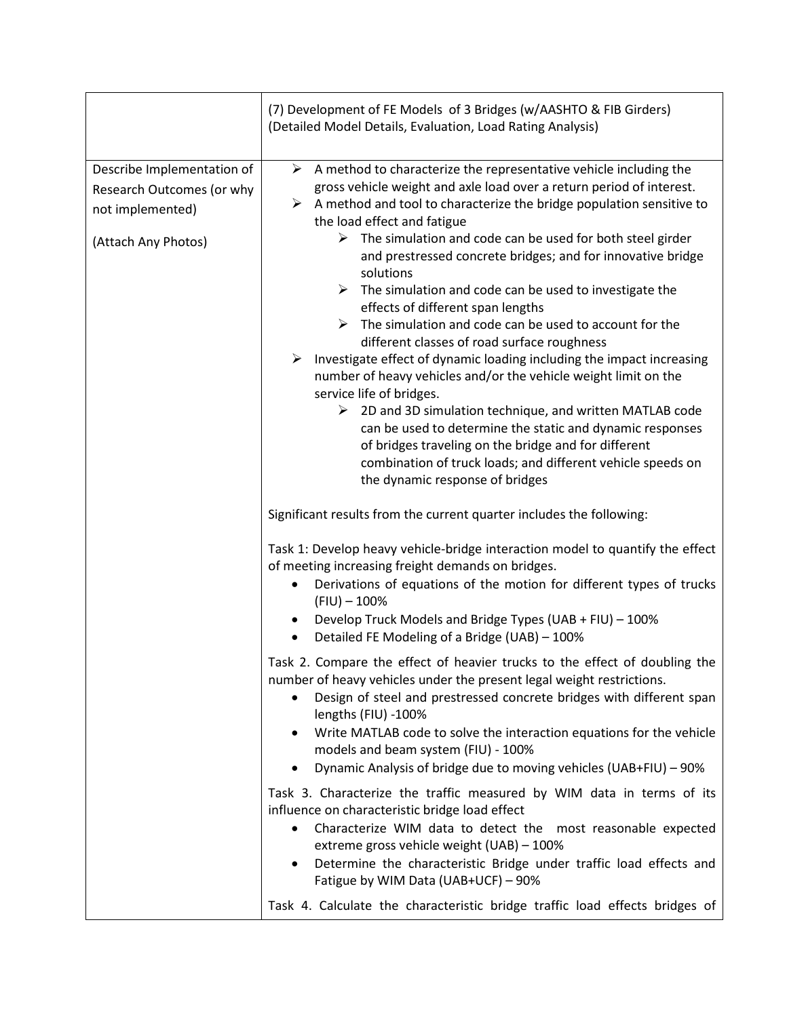|                                                                                                    | (7) Development of FE Models of 3 Bridges (w/AASHTO & FIB Girders)<br>(Detailed Model Details, Evaluation, Load Rating Analysis)                                                                                                                                                                                                                                                                                                                                                                                                                                                                                                                                                                                                                                                                                                                                                                                                                                                                                                                                                                                                   |
|----------------------------------------------------------------------------------------------------|------------------------------------------------------------------------------------------------------------------------------------------------------------------------------------------------------------------------------------------------------------------------------------------------------------------------------------------------------------------------------------------------------------------------------------------------------------------------------------------------------------------------------------------------------------------------------------------------------------------------------------------------------------------------------------------------------------------------------------------------------------------------------------------------------------------------------------------------------------------------------------------------------------------------------------------------------------------------------------------------------------------------------------------------------------------------------------------------------------------------------------|
| Describe Implementation of<br>Research Outcomes (or why<br>not implemented)<br>(Attach Any Photos) | $\triangleright$ A method to characterize the representative vehicle including the<br>gross vehicle weight and axle load over a return period of interest.<br>A method and tool to characterize the bridge population sensitive to<br>➤<br>the load effect and fatigue<br>$\triangleright$ The simulation and code can be used for both steel girder<br>and prestressed concrete bridges; and for innovative bridge<br>solutions<br>The simulation and code can be used to investigate the<br>➤<br>effects of different span lengths<br>The simulation and code can be used to account for the<br>➤<br>different classes of road surface roughness<br>Investigate effect of dynamic loading including the impact increasing<br>➤<br>number of heavy vehicles and/or the vehicle weight limit on the<br>service life of bridges.<br>$\triangleright$ 2D and 3D simulation technique, and written MATLAB code<br>can be used to determine the static and dynamic responses<br>of bridges traveling on the bridge and for different<br>combination of truck loads; and different vehicle speeds on<br>the dynamic response of bridges |
|                                                                                                    | Significant results from the current quarter includes the following:                                                                                                                                                                                                                                                                                                                                                                                                                                                                                                                                                                                                                                                                                                                                                                                                                                                                                                                                                                                                                                                               |
|                                                                                                    | Task 1: Develop heavy vehicle-bridge interaction model to quantify the effect<br>of meeting increasing freight demands on bridges.<br>Derivations of equations of the motion for different types of trucks<br>$\bullet$<br>$(FIU) - 100\%$<br>Develop Truck Models and Bridge Types (UAB + FIU) - 100%<br>Detailed FE Modeling of a Bridge (UAB) - 100%<br>$\bullet$                                                                                                                                                                                                                                                                                                                                                                                                                                                                                                                                                                                                                                                                                                                                                               |
|                                                                                                    | Task 2. Compare the effect of heavier trucks to the effect of doubling the<br>number of heavy vehicles under the present legal weight restrictions.<br>Design of steel and prestressed concrete bridges with different span<br>lengths (FIU) -100%<br>Write MATLAB code to solve the interaction equations for the vehicle<br>٠<br>models and beam system (FIU) - 100%<br>Dynamic Analysis of bridge due to moving vehicles (UAB+FIU) - 90%<br>$\bullet$                                                                                                                                                                                                                                                                                                                                                                                                                                                                                                                                                                                                                                                                           |
|                                                                                                    | Task 3. Characterize the traffic measured by WIM data in terms of its<br>influence on characteristic bridge load effect<br>Characterize WIM data to detect the most reasonable expected<br>$\bullet$<br>extreme gross vehicle weight (UAB) - 100%<br>Determine the characteristic Bridge under traffic load effects and<br>٠<br>Fatigue by WIM Data (UAB+UCF) - 90%<br>Task 4. Calculate the characteristic bridge traffic load effects bridges of                                                                                                                                                                                                                                                                                                                                                                                                                                                                                                                                                                                                                                                                                 |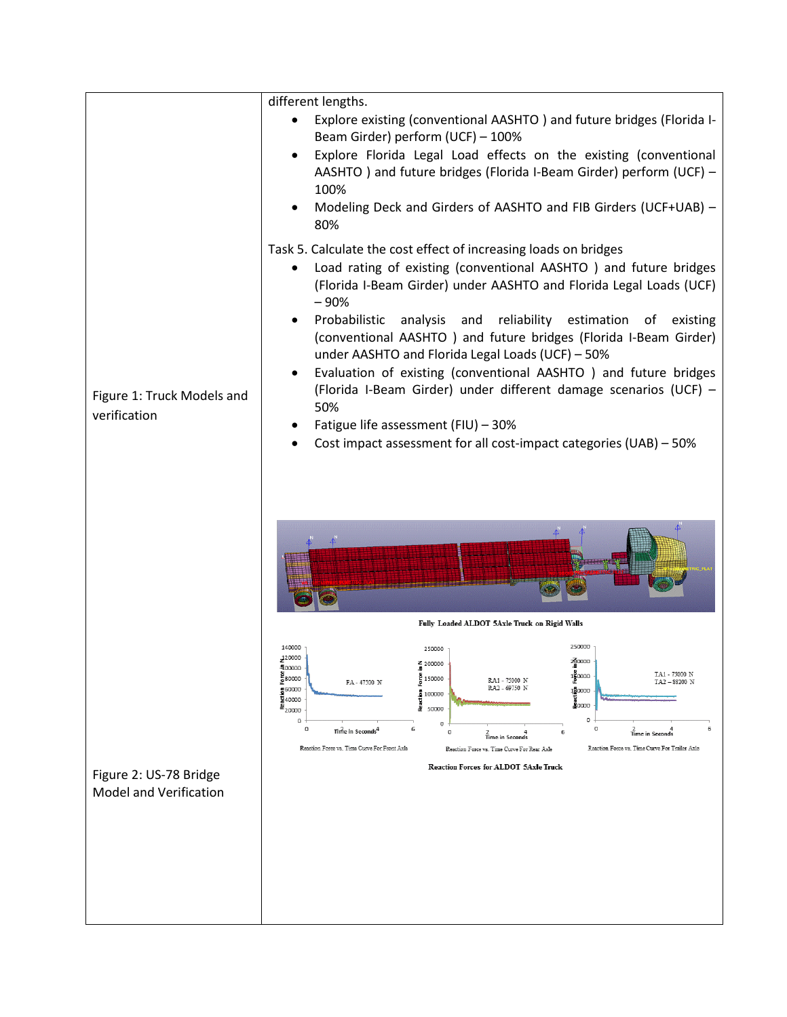|                                                         | different lengths.                                                                                                                                                                                                                                                                                                                                                                                                                                                                                                                                                                                                                                                                                  |
|---------------------------------------------------------|-----------------------------------------------------------------------------------------------------------------------------------------------------------------------------------------------------------------------------------------------------------------------------------------------------------------------------------------------------------------------------------------------------------------------------------------------------------------------------------------------------------------------------------------------------------------------------------------------------------------------------------------------------------------------------------------------------|
|                                                         | Explore existing (conventional AASHTO) and future bridges (Florida I-<br>Beam Girder) perform (UCF) - 100%                                                                                                                                                                                                                                                                                                                                                                                                                                                                                                                                                                                          |
|                                                         | Explore Florida Legal Load effects on the existing (conventional<br>AASHTO) and future bridges (Florida I-Beam Girder) perform (UCF) -<br>100%                                                                                                                                                                                                                                                                                                                                                                                                                                                                                                                                                      |
|                                                         | Modeling Deck and Girders of AASHTO and FIB Girders (UCF+UAB) -<br>80%                                                                                                                                                                                                                                                                                                                                                                                                                                                                                                                                                                                                                              |
| Figure 1: Truck Models and<br>verification              | Task 5. Calculate the cost effect of increasing loads on bridges<br>Load rating of existing (conventional AASHTO) and future bridges<br>(Florida I-Beam Girder) under AASHTO and Florida Legal Loads (UCF)<br>$-90%$<br>Probabilistic<br>analysis and<br>reliability estimation of<br>existing<br>(conventional AASHTO) and future bridges (Florida I-Beam Girder)<br>under AASHTO and Florida Legal Loads (UCF) - 50%<br>Evaluation of existing (conventional AASHTO) and future bridges<br>$\bullet$<br>(Florida I-Beam Girder) under different damage scenarios (UCF) -<br>50%<br>Fatigue life assessment (FIU) - 30%<br>Cost impact assessment for all cost-impact categories (UAB) - 50%       |
|                                                         |                                                                                                                                                                                                                                                                                                                                                                                                                                                                                                                                                                                                                                                                                                     |
|                                                         | Fully Loaded ALDOT 5Axle Truck on Rigid Walls                                                                                                                                                                                                                                                                                                                                                                                                                                                                                                                                                                                                                                                       |
| Figure 2: US-78 Bridge<br><b>Model and Verification</b> | 250000<br>140000<br>250000<br>120000<br>200000<br>Z 200000<br>40000u<br>$\frac{8}{2}0000$<br>TA1 - 75000 N<br>율<br>운 <sup>80000</sup><br>ë<br>150000<br>RA1 - 75000 N<br>TA2-88200 N<br>FA-47500 N<br>RA2 - 69750 N<br><u>등</u> 60000<br>100000<br>$\frac{5}{2}$ 100000<br>ਖ਼ੂ<br><mark>ਭ</mark> ੂੰ0000<br>평40000<br>은 <sub>20000</sub><br>į<br>50000<br>0<br>o<br>$\circ$<br>$\circ$<br>6<br>$\frac{2}{\text{Time in Second}}$<br>Time in Seconds <sup>4</sup><br>$\circ$<br>6<br><b>Time in Seconds</b><br>Reaction Force vs. Time Curve For Front Axle<br>Reaction Force vs. Time Curve For Trailer Axle<br>Reaction Force vs. Time Curve For Rear Axle<br>Reaction Forces for ALDOT 5Axle Truck |
|                                                         |                                                                                                                                                                                                                                                                                                                                                                                                                                                                                                                                                                                                                                                                                                     |
|                                                         |                                                                                                                                                                                                                                                                                                                                                                                                                                                                                                                                                                                                                                                                                                     |
|                                                         |                                                                                                                                                                                                                                                                                                                                                                                                                                                                                                                                                                                                                                                                                                     |
|                                                         |                                                                                                                                                                                                                                                                                                                                                                                                                                                                                                                                                                                                                                                                                                     |
|                                                         |                                                                                                                                                                                                                                                                                                                                                                                                                                                                                                                                                                                                                                                                                                     |
|                                                         |                                                                                                                                                                                                                                                                                                                                                                                                                                                                                                                                                                                                                                                                                                     |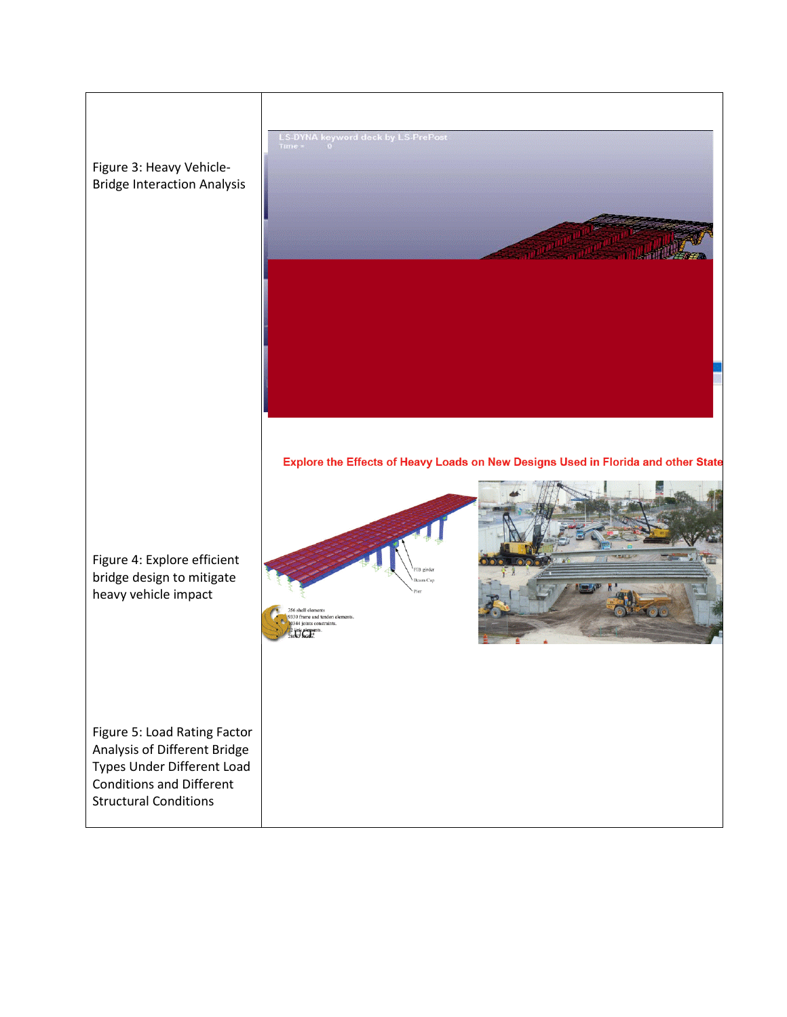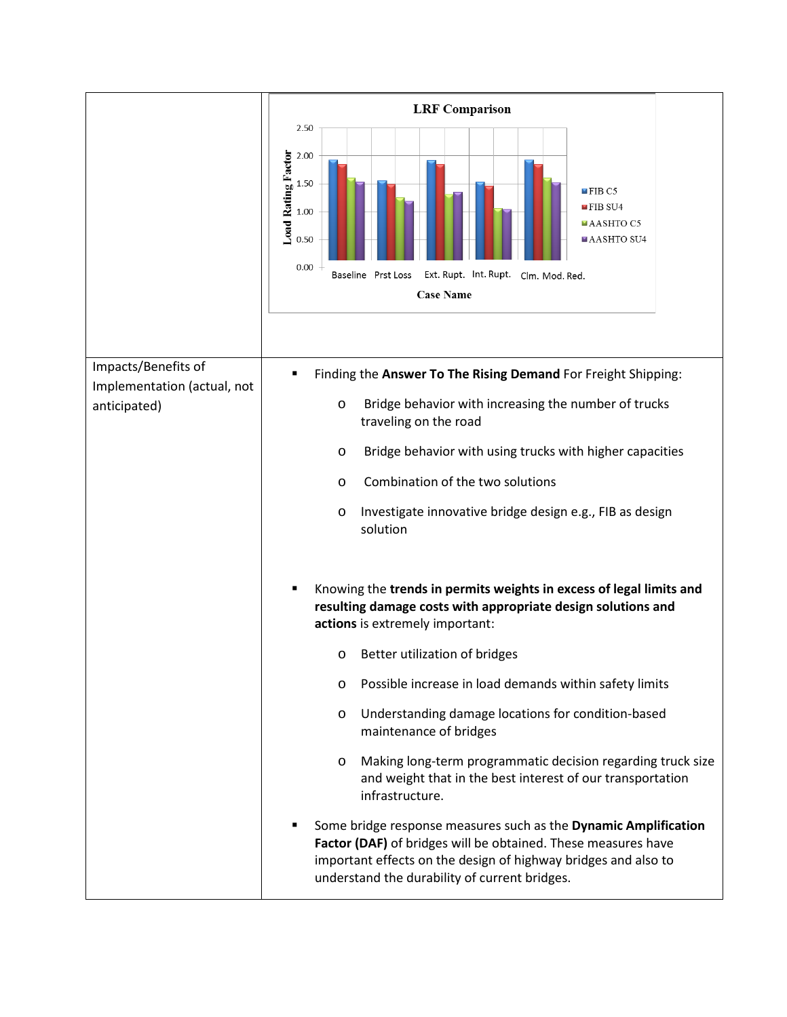